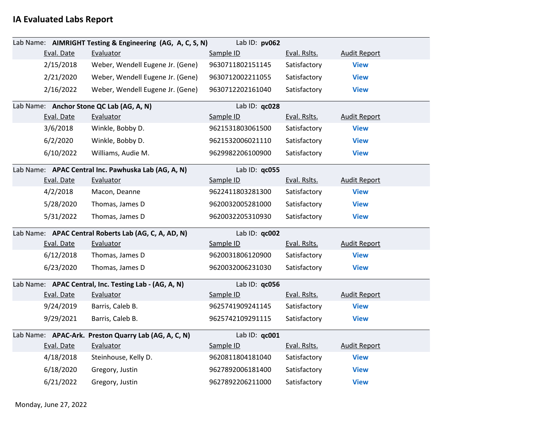## **IA Evaluated Labs Report**

|            | Lab Name: AIMRIGHT Testing & Engineering (AG, A, C, S, N) | Lab ID: pv062    |              |                     |  |
|------------|-----------------------------------------------------------|------------------|--------------|---------------------|--|
| Eval. Date | Evaluator                                                 | Sample ID        | Eval. Rslts. | <b>Audit Report</b> |  |
| 2/15/2018  | Weber, Wendell Eugene Jr. (Gene)                          | 9630711802151145 | Satisfactory | <b>View</b>         |  |
| 2/21/2020  | Weber, Wendell Eugene Jr. (Gene)                          | 9630712002211055 | Satisfactory | <b>View</b>         |  |
| 2/16/2022  | Weber, Wendell Eugene Jr. (Gene)                          | 9630712202161040 | Satisfactory | <b>View</b>         |  |
|            | Lab Name: Anchor Stone QC Lab (AG, A, N)                  | Lab ID: qc028    |              |                     |  |
| Eval. Date | Evaluator                                                 | Sample ID        | Eval. Rslts. | <b>Audit Report</b> |  |
| 3/6/2018   | Winkle, Bobby D.                                          | 9621531803061500 | Satisfactory | <b>View</b>         |  |
| 6/2/2020   | Winkle, Bobby D.                                          | 9621532006021110 | Satisfactory | <b>View</b>         |  |
| 6/10/2022  | Williams, Audie M.                                        | 9629982206100900 | Satisfactory | <b>View</b>         |  |
|            | Lab Name: APAC Central Inc. Pawhuska Lab (AG, A, N)       | Lab ID: qc055    |              |                     |  |
| Eval. Date | Evaluator                                                 | Sample ID        | Eval. Rslts. | <b>Audit Report</b> |  |
| 4/2/2018   | Macon, Deanne                                             | 9622411803281300 | Satisfactory | <b>View</b>         |  |
| 5/28/2020  | Thomas, James D                                           | 9620032005281000 | Satisfactory | <b>View</b>         |  |
| 5/31/2022  | Thomas, James D                                           | 9620032205310930 | Satisfactory | <b>View</b>         |  |
|            | Lab Name: APAC Central Roberts Lab (AG, C, A, AD, N)      | Lab ID: qc002    |              |                     |  |
| Eval. Date | Evaluator                                                 | Sample ID        | Eval. Rslts. | <b>Audit Report</b> |  |
| 6/12/2018  | Thomas, James D                                           | 9620031806120900 | Satisfactory | <b>View</b>         |  |
| 6/23/2020  | Thomas, James D                                           | 9620032006231030 | Satisfactory | <b>View</b>         |  |
|            | Lab Name: APAC Central, Inc. Testing Lab - (AG, A, N)     | Lab ID: qc056    |              |                     |  |
| Eval. Date | Evaluator                                                 | Sample ID        | Eval. Rslts. | <b>Audit Report</b> |  |
| 9/24/2019  | Barris, Caleb B.                                          | 9625741909241145 | Satisfactory | <b>View</b>         |  |
| 9/29/2021  | Barris, Caleb B.                                          | 9625742109291115 | Satisfactory | <b>View</b>         |  |
|            | Lab Name: APAC-Ark. Preston Quarry Lab (AG, A, C, N)      | Lab ID: qc001    |              |                     |  |
| Eval. Date | Evaluator                                                 | Sample ID        | Eval. Rslts. | <b>Audit Report</b> |  |
| 4/18/2018  | Steinhouse, Kelly D.                                      | 9620811804181040 | Satisfactory | <b>View</b>         |  |
| 6/18/2020  | Gregory, Justin                                           | 9627892006181400 | Satisfactory | <b>View</b>         |  |
| 6/21/2022  | Gregory, Justin                                           | 9627892206211000 | Satisfactory | <b>View</b>         |  |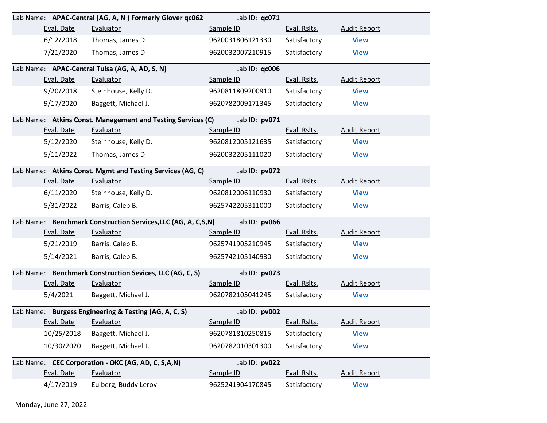|                      | Lab Name: APAC-Central (AG, A, N) Formerly Glover qc062       | Lab ID: qc071    |              |                     |
|----------------------|---------------------------------------------------------------|------------------|--------------|---------------------|
| Eval. Date           | Evaluator                                                     | Sample ID        | Eval. Rslts. | <b>Audit Report</b> |
| 6/12/2018            | Thomas, James D                                               | 9620031806121330 | Satisfactory | <b>View</b>         |
| 7/21/2020            | Thomas, James D                                               | 9620032007210915 | Satisfactory | <b>View</b>         |
|                      | Lab Name: APAC-Central Tulsa (AG, A, AD, S, N)                | Lab ID: qc006    |              |                     |
| Eval. Date           | Evaluator                                                     | Sample ID        | Eval. Rslts. | <b>Audit Report</b> |
| 9/20/2018            | Steinhouse, Kelly D.                                          | 9620811809200910 | Satisfactory | <b>View</b>         |
| 9/17/2020            | Baggett, Michael J.                                           | 9620782009171345 | Satisfactory | <b>View</b>         |
|                      | Lab Name: Atkins Const. Management and Testing Services (C)   | Lab ID: pv071    |              |                     |
| Eval. Date           | Evaluator                                                     | Sample ID        | Eval. Rslts. | <b>Audit Report</b> |
| 5/12/2020            | Steinhouse, Kelly D.                                          | 9620812005121635 | Satisfactory | <b>View</b>         |
| 5/11/2022            | Thomas, James D                                               | 9620032205111020 | Satisfactory | <b>View</b>         |
|                      | Lab Name: Atkins Const. Mgmt and Testing Services (AG, C)     | Lab ID: pv072    |              |                     |
| Eval. Date           | Evaluator                                                     | Sample ID        | Eval. Rslts. | <b>Audit Report</b> |
| 6/11/2020            | Steinhouse, Kelly D.                                          | 9620812006110930 | Satisfactory | <b>View</b>         |
| 5/31/2022            | Barris, Caleb B.                                              | 9625742205311000 | Satisfactory | <b>View</b>         |
|                      | Lab Name: Benchmark Construction Services, LLC (AG, A, C,S,N) | Lab ID: pv066    |              |                     |
| Eval. Date           | Evaluator                                                     | Sample ID        | Eval. Rslts. | <b>Audit Report</b> |
| 5/21/2019            | Barris, Caleb B.                                              | 9625741905210945 | Satisfactory | <b>View</b>         |
| 5/14/2021            | Barris, Caleb B.                                              | 9625742105140930 | Satisfactory | <b>View</b>         |
|                      | Lab Name: Benchmark Construction Sevices, LLC (AG, C, S)      | Lab ID: pv073    |              |                     |
| Eval. Date           | Evaluator                                                     | Sample ID        | Eval. Rslts. | <b>Audit Report</b> |
| 5/4/2021             | Baggett, Michael J.                                           | 9620782105041245 | Satisfactory | <b>View</b>         |
|                      | Lab Name: Burgess Engineering & Testing (AG, A, C, S)         | Lab ID: pv002    |              |                     |
| Eval. Date Evaluator |                                                               | Sample ID        | Eval. Rslts. | <b>Audit Report</b> |
| 10/25/2018           | Baggett, Michael J.                                           | 9620781810250815 | Satisfactory | <b>View</b>         |
| 10/30/2020           | Baggett, Michael J.                                           | 9620782010301300 | Satisfactory | <b>View</b>         |
|                      | Lab Name: CEC Corporation - OKC (AG, AD, C, S,A,N)            | Lab ID: pv022    |              |                     |
| Eval. Date           | Evaluator                                                     | Sample ID        | Eval. Rslts. | <b>Audit Report</b> |
| 4/17/2019            | Eulberg, Buddy Leroy                                          | 9625241904170845 | Satisfactory | <b>View</b>         |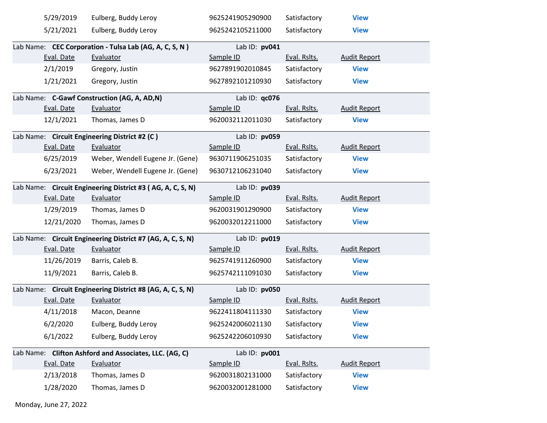| 5/29/2019  | Eulberg, Buddy Leroy                                       | 9625241905290900 | Satisfactory | <b>View</b>         |
|------------|------------------------------------------------------------|------------------|--------------|---------------------|
| 5/21/2021  | Eulberg, Buddy Leroy                                       | 9625242105211000 | Satisfactory | <b>View</b>         |
|            | Lab Name: CEC Corporation - Tulsa Lab (AG, A, C, S, N)     | Lab ID: pv041    |              |                     |
| Eval. Date | Evaluator                                                  | Sample ID        | Eval. Rslts. | <b>Audit Report</b> |
| 2/1/2019   | Gregory, Justin                                            | 9627891902010845 | Satisfactory | <b>View</b>         |
| 1/21/2021  | Gregory, Justin                                            | 9627892101210930 | Satisfactory | <b>View</b>         |
|            | Lab Name: C-Gawf Construction (AG, A, AD,N)                | Lab ID: qc076    |              |                     |
| Eval. Date | Evaluator                                                  | Sample ID        | Eval. Rslts. | <b>Audit Report</b> |
| 12/1/2021  | Thomas, James D                                            | 9620032112011030 | Satisfactory | <b>View</b>         |
|            | Lab Name: Circuit Engineering District #2 (C)              | Lab ID: pv059    |              |                     |
| Eval. Date | Evaluator                                                  | Sample ID        | Eval. Rslts. | <b>Audit Report</b> |
| 6/25/2019  | Weber, Wendell Eugene Jr. (Gene)                           | 9630711906251035 | Satisfactory | <b>View</b>         |
| 6/23/2021  | Weber, Wendell Eugene Jr. (Gene)                           | 9630712106231040 | Satisfactory | <b>View</b>         |
|            | Lab Name: Circuit Engineering District #3 (AG, A, C, S, N) | Lab ID: pv039    |              |                     |
| Eval. Date | Evaluator                                                  | Sample ID        | Eval. Rslts. | <b>Audit Report</b> |
| 1/29/2019  | Thomas, James D                                            | 9620031901290900 | Satisfactory | <b>View</b>         |
| 12/21/2020 | Thomas, James D                                            | 9620032012211000 | Satisfactory | <b>View</b>         |
|            | Lab Name: Circuit Engineering District #7 (AG, A, C, S, N) | Lab ID: pv019    |              |                     |
| Eval. Date | Evaluator                                                  | Sample ID        | Eval. Rslts. | <b>Audit Report</b> |
| 11/26/2019 | Barris, Caleb B.                                           | 9625741911260900 | Satisfactory | <b>View</b>         |
| 11/9/2021  | Barris, Caleb B.                                           | 9625742111091030 | Satisfactory | <b>View</b>         |
|            | Lab Name: Circuit Engineering District #8 (AG, A, C, S, N) | Lab ID: pv050    |              |                     |
| Eval. Date | Evaluator                                                  | Sample ID        | Eval. Rslts. | <b>Audit Report</b> |
| 4/11/2018  | Macon, Deanne                                              | 9622411804111330 | Satisfactory | <b>View</b>         |
|            | 6/2/2020 Eulberg, Buddy Leroy                              | 9625242006021130 | Satisfactory | <b>View</b>         |
| 6/1/2022   | Eulberg, Buddy Leroy                                       | 9625242206010930 | Satisfactory | <b>View</b>         |
|            | Lab Name: Clifton Ashford and Associates, LLC. (AG, C)     | Lab ID: pv001    |              |                     |
| Eval. Date | Evaluator                                                  | Sample ID        | Eval. Rslts. | <b>Audit Report</b> |
| 2/13/2018  | Thomas, James D                                            | 9620031802131000 | Satisfactory | <b>View</b>         |
| 1/28/2020  | Thomas, James D                                            | 9620032001281000 | Satisfactory | <b>View</b>         |

Monday, June 27, 2022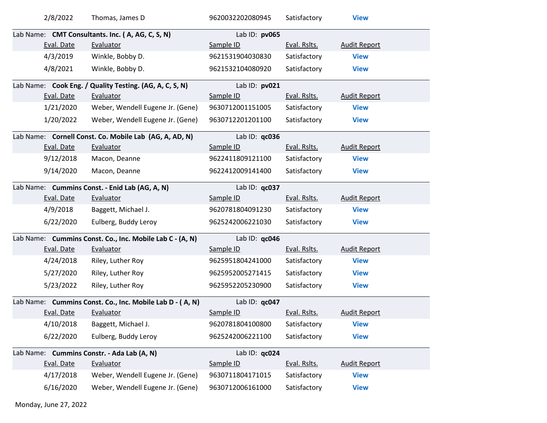|                                                | 2/8/2022   | Thomas, James D                                          | 9620032202080945 | Satisfactory | <b>View</b>         |
|------------------------------------------------|------------|----------------------------------------------------------|------------------|--------------|---------------------|
|                                                |            | Lab Name: CMT Consultants. Inc. (A, AG, C, S, N)         | Lab ID: pv065    |              |                     |
|                                                | Eval. Date | Evaluator                                                | Sample ID        | Eval. Rslts. | <b>Audit Report</b> |
|                                                | 4/3/2019   | Winkle, Bobby D.                                         | 9621531904030830 | Satisfactory | <b>View</b>         |
|                                                | 4/8/2021   | Winkle, Bobby D.                                         | 9621532104080920 | Satisfactory | <b>View</b>         |
|                                                |            | Lab Name: Cook Eng. / Quality Testing. (AG, A, C, S, N)  | Lab ID: pv021    |              |                     |
|                                                | Eval. Date | Evaluator                                                | Sample ID        | Eval. Rslts. | <b>Audit Report</b> |
|                                                | 1/21/2020  | Weber, Wendell Eugene Jr. (Gene)                         | 9630712001151005 | Satisfactory | <b>View</b>         |
|                                                | 1/20/2022  | Weber, Wendell Eugene Jr. (Gene)                         | 9630712201201100 | Satisfactory | <b>View</b>         |
|                                                |            | Lab Name: Cornell Const. Co. Mobile Lab (AG, A, AD, N)   | Lab ID: qc036    |              |                     |
|                                                | Eval. Date | Evaluator                                                | Sample ID        | Eval. Rslts. | <b>Audit Report</b> |
|                                                | 9/12/2018  | Macon, Deanne                                            | 9622411809121100 | Satisfactory | <b>View</b>         |
|                                                | 9/14/2020  | Macon, Deanne                                            | 9622412009141400 | Satisfactory | <b>View</b>         |
| Lab Name: Cummins Const. - Enid Lab (AG, A, N) |            |                                                          | Lab ID: $qc037$  |              |                     |
|                                                | Eval. Date | Evaluator                                                | Sample ID        | Eval. Rslts. | <b>Audit Report</b> |
|                                                | 4/9/2018   | Baggett, Michael J.                                      | 9620781804091230 | Satisfactory | <b>View</b>         |
|                                                | 6/22/2020  | Eulberg, Buddy Leroy                                     | 9625242006221030 | Satisfactory | <b>View</b>         |
|                                                |            | Lab Name: Cummins Const. Co., Inc. Mobile Lab C - (A, N) | Lab ID: qc046    |              |                     |
|                                                | Eval. Date | Evaluator                                                | Sample ID        | Eval. Rslts. | <b>Audit Report</b> |
|                                                | 4/24/2018  | Riley, Luther Roy                                        | 9625951804241000 | Satisfactory | <b>View</b>         |
|                                                | 5/27/2020  | Riley, Luther Roy                                        | 9625952005271415 | Satisfactory | <b>View</b>         |
|                                                | 5/23/2022  | Riley, Luther Roy                                        | 9625952205230900 | Satisfactory | <b>View</b>         |
|                                                |            | Lab Name: Cummins Const. Co., Inc. Mobile Lab D - (A, N) | Lab ID: qc047    |              |                     |
|                                                | Eval. Date | Evaluator                                                | Sample ID        | Eval. Rslts. | <b>Audit Report</b> |
|                                                | 4/10/2018  | Baggett, Michael J.                                      | 9620781804100800 | Satisfactory | <b>View</b>         |
|                                                | 6/22/2020  | Eulberg, Buddy Leroy                                     | 9625242006221100 | Satisfactory | <b>View</b>         |
|                                                |            | Lab Name: Cummins Constr. - Ada Lab (A, N)               | Lab ID: qc024    |              |                     |
|                                                | Eval. Date | Evaluator                                                | Sample ID        | Eval. Rslts. | <b>Audit Report</b> |
|                                                | 4/17/2018  | Weber, Wendell Eugene Jr. (Gene)                         | 9630711804171015 | Satisfactory | <b>View</b>         |
|                                                | 6/16/2020  | Weber, Wendell Eugene Jr. (Gene)                         | 9630712006161000 | Satisfactory | <b>View</b>         |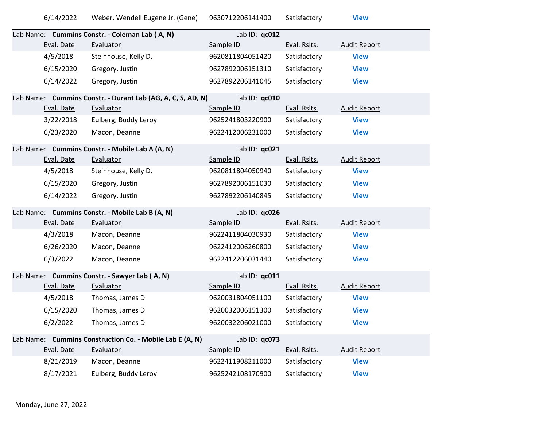|            | Lab Name: Cummins Constr. - Coleman Lab (A, N)              | Lab ID: $qc012$  |              |                     |
|------------|-------------------------------------------------------------|------------------|--------------|---------------------|
| Eval. Date | Evaluator                                                   | Sample ID        | Eval. Rslts. | <b>Audit Report</b> |
| 4/5/2018   | Steinhouse, Kelly D.                                        | 9620811804051420 | Satisfactory | <b>View</b>         |
| 6/15/2020  | Gregory, Justin                                             | 9627892006151310 | Satisfactory | <b>View</b>         |
| 6/14/2022  | Gregory, Justin                                             | 9627892206141045 | Satisfactory | <b>View</b>         |
|            | Lab Name: Cummins Constr. - Durant Lab (AG, A, C, S, AD, N) | Lab ID: $qc010$  |              |                     |
| Eval. Date | Evaluator                                                   | Sample ID        | Eval. Rslts. | <b>Audit Report</b> |
| 3/22/2018  | Eulberg, Buddy Leroy                                        | 9625241803220900 | Satisfactory | <b>View</b>         |
| 6/23/2020  | Macon, Deanne                                               | 9622412006231000 | Satisfactory | <b>View</b>         |
|            | i da kila a contra a contra a cidada a falamada             | $1.1.10 \ldots$  |              |                     |

| Lab Name: Cummins Constr. - Mobile Lab A (A, N)<br>Lab ID: $qc021$ |            |                                                          |                  |              |                     |
|--------------------------------------------------------------------|------------|----------------------------------------------------------|------------------|--------------|---------------------|
|                                                                    | Eval. Date | Evaluator                                                | Sample ID        | Eval. Rslts. | <b>Audit Report</b> |
|                                                                    | 4/5/2018   | Steinhouse, Kelly D.                                     | 9620811804050940 | Satisfactory | <b>View</b>         |
|                                                                    | 6/15/2020  | Gregory, Justin                                          | 9627892006151030 | Satisfactory | <b>View</b>         |
|                                                                    | 6/14/2022  | Gregory, Justin                                          | 9627892206140845 | Satisfactory | <b>View</b>         |
|                                                                    |            | Lab Name: Cummins Constr. - Mobile Lab B (A, N)          | Lab ID: qc026    |              |                     |
|                                                                    | Eval. Date | Evaluator                                                | Sample ID        | Eval. Rslts. | <b>Audit Report</b> |
|                                                                    | 4/3/2018   | Macon, Deanne                                            | 9622411804030930 | Satisfactory | <b>View</b>         |
|                                                                    | 6/26/2020  | Macon, Deanne                                            | 9622412006260800 | Satisfactory | <b>View</b>         |
|                                                                    | 6/3/2022   | Macon, Deanne                                            | 9622412206031440 | Satisfactory | <b>View</b>         |
|                                                                    |            | Lab Name: Cummins Constr. - Sawyer Lab (A, N)            | Lab ID: qc011    |              |                     |
|                                                                    | Eval. Date | Evaluator                                                | Sample ID        | Eval. Rslts. | <b>Audit Report</b> |
|                                                                    | 4/5/2018   | Thomas, James D                                          | 9620031804051100 | Satisfactory | <b>View</b>         |
|                                                                    | 6/15/2020  | Thomas, James D                                          | 9620032006151300 | Satisfactory | <b>View</b>         |
|                                                                    | 6/2/2022   | Thomas, James D                                          | 9620032206021000 | Satisfactory | <b>View</b>         |
|                                                                    |            | Lab Name: Cummins Construction Co. - Mobile Lab E (A, N) | Lab ID: $qc073$  |              |                     |

|            | Lab Name: Cummins Construction Co. - Mobile Lab E (A, N) | Lab ID: $qc073$  |              |                     |
|------------|----------------------------------------------------------|------------------|--------------|---------------------|
| Eval. Date | Evaluator                                                | Sample ID        | Eval. Rslts. | <b>Audit Report</b> |
| 8/21/2019  | Macon, Deanne                                            | 9622411908211000 | Satisfactory | <b>View</b>         |
| 8/17/2021  | Eulberg, Buddy Leroy                                     | 9625242108170900 | Satisfactory | <b>View</b>         |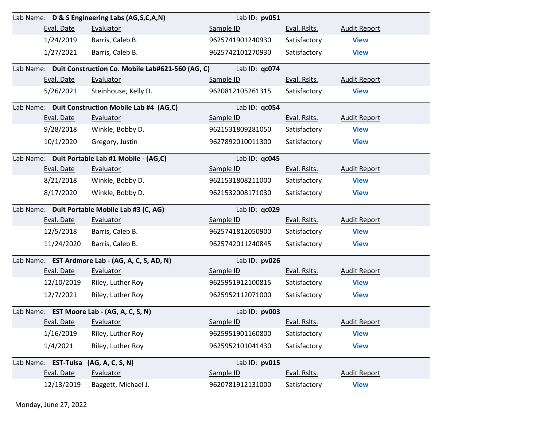|                      | Lab Name: D & S Engineering Labs (AG,S,C,A,N)              | Lab ID: pv051    |              |                     |
|----------------------|------------------------------------------------------------|------------------|--------------|---------------------|
| Eval. Date           | Evaluator                                                  | Sample ID        | Eval. Rslts. | <b>Audit Report</b> |
| 1/24/2019            | Barris, Caleb B.                                           | 9625741901240930 | Satisfactory | <b>View</b>         |
| 1/27/2021            | Barris, Caleb B.                                           | 9625742101270930 | Satisfactory | <b>View</b>         |
|                      | Lab Name: Duit Construction Co. Mobile Lab#621-560 (AG, C) | Lab ID: qc074    |              |                     |
| Eval. Date           | Evaluator                                                  | Sample ID        | Eval. Rslts. | <b>Audit Report</b> |
| 5/26/2021            | Steinhouse, Kelly D.                                       | 9620812105261315 | Satisfactory | <b>View</b>         |
|                      | Lab Name: Duit Construction Mobile Lab #4 (AG,C)           | Lab ID: qc054    |              |                     |
| Eval. Date           | Evaluator                                                  | Sample ID        | Eval. Rslts. | <b>Audit Report</b> |
| 9/28/2018            | Winkle, Bobby D.                                           | 9621531809281050 | Satisfactory | <b>View</b>         |
| 10/1/2020            | Gregory, Justin                                            | 9627892010011300 | Satisfactory | <b>View</b>         |
|                      | Lab Name: Duit Portable Lab #1 Mobile - (AG,C)             | Lab ID: qc045    |              |                     |
| Eval. Date           | Evaluator                                                  | Sample ID        | Eval. Rslts. | <b>Audit Report</b> |
| 8/21/2018            | Winkle, Bobby D.                                           | 9621531808211000 | Satisfactory | <b>View</b>         |
| 8/17/2020            | Winkle, Bobby D.                                           | 9621532008171030 | Satisfactory | <b>View</b>         |
|                      | Lab Name: Duit Portable Mobile Lab #3 (C, AG)              | Lab ID: qc029    |              |                     |
| Eval. Date           | Evaluator                                                  | Sample ID        | Eval. Rslts. | <b>Audit Report</b> |
| 12/5/2018            | Barris, Caleb B.                                           | 9625741812050900 | Satisfactory | <b>View</b>         |
| 11/24/2020           | Barris, Caleb B.                                           | 9625742011240845 | Satisfactory | <b>View</b>         |
|                      | Lab Name: EST Ardmore Lab - (AG, A, C, S, AD, N)           | Lab ID: pv026    |              |                     |
| Eval. Date           | Evaluator                                                  | Sample ID        | Eval. Rslts. | <b>Audit Report</b> |
| 12/10/2019           | Riley, Luther Roy                                          | 9625951912100815 | Satisfactory | <b>View</b>         |
| 12/7/2021            | Riley, Luther Roy                                          | 9625952112071000 | Satisfactory | <b>View</b>         |
|                      | Lab Name: EST Moore Lab - (AG, A, C, S, N)                 | Lab ID: pv003    |              |                     |
| Eval. Date Evaluator |                                                            | Sample ID        | Eval. Rslts. | <b>Audit Report</b> |
| 1/16/2019            | Riley, Luther Roy                                          | 9625951901160800 | Satisfactory | <b>View</b>         |
| 1/4/2021             | Riley, Luther Roy                                          | 9625952101041430 | Satisfactory | <b>View</b>         |
| Lab Name: EST-Tulsa  | (AG, A, C, S, N)                                           | Lab ID: pv015    |              |                     |
| Eval. Date           | Evaluator                                                  | Sample ID        | Eval. Rslts. | <b>Audit Report</b> |
| 12/13/2019           | Baggett, Michael J.                                        | 9620781912131000 | Satisfactory | <b>View</b>         |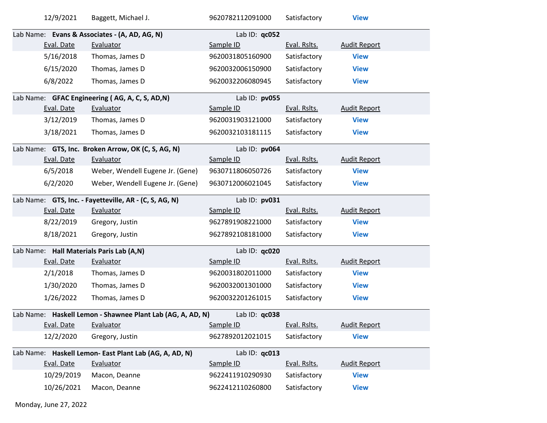|                                                        | 12/9/2021  | Baggett, Michael J.                                        | 9620782112091000 | Satisfactory | <b>View</b>         |  |
|--------------------------------------------------------|------------|------------------------------------------------------------|------------------|--------------|---------------------|--|
|                                                        |            | Lab Name: Evans & Associates - (A, AD, AG, N)              | Lab ID: qc052    |              |                     |  |
|                                                        | Eval. Date | Evaluator                                                  | Sample ID        | Eval. Rslts. | <b>Audit Report</b> |  |
|                                                        | 5/16/2018  | Thomas, James D                                            | 9620031805160900 | Satisfactory | <b>View</b>         |  |
|                                                        | 6/15/2020  | Thomas, James D                                            | 9620032006150900 | Satisfactory | <b>View</b>         |  |
|                                                        | 6/8/2022   | Thomas, James D                                            | 9620032206080945 | Satisfactory | <b>View</b>         |  |
|                                                        |            | Lab Name: GFAC Engineering (AG, A, C, S, AD,N)             | Lab ID: pv055    |              |                     |  |
|                                                        | Eval. Date | Evaluator                                                  | Sample ID        | Eval. Rslts. | <b>Audit Report</b> |  |
|                                                        | 3/12/2019  | Thomas, James D                                            | 9620031903121000 | Satisfactory | <b>View</b>         |  |
|                                                        | 3/18/2021  | Thomas, James D                                            | 9620032103181115 | Satisfactory | <b>View</b>         |  |
|                                                        |            | Lab Name: GTS, Inc. Broken Arrow, OK (C, S, AG, N)         | Lab ID: pv064    |              |                     |  |
|                                                        | Eval. Date | Evaluator                                                  | Sample ID        | Eval. Rslts. | <b>Audit Report</b> |  |
|                                                        | 6/5/2018   | Weber, Wendell Eugene Jr. (Gene)                           | 9630711806050726 | Satisfactory | <b>View</b>         |  |
|                                                        | 6/2/2020   | Weber, Wendell Eugene Jr. (Gene)                           | 9630712006021045 | Satisfactory | <b>View</b>         |  |
| Lab Name: GTS, Inc. - Fayetteville, AR - (C, S, AG, N) |            |                                                            | Lab ID: pv031    |              |                     |  |
|                                                        |            |                                                            |                  |              |                     |  |
|                                                        | Eval. Date | Evaluator                                                  | Sample ID        | Eval. Rslts. | <b>Audit Report</b> |  |
|                                                        | 8/22/2019  | Gregory, Justin                                            | 9627891908221000 | Satisfactory | <b>View</b>         |  |
|                                                        | 8/18/2021  | Gregory, Justin                                            | 9627892108181000 | Satisfactory | <b>View</b>         |  |
|                                                        |            | Lab Name: Hall Materials Paris Lab (A,N)                   | Lab ID: qc020    |              |                     |  |
|                                                        | Eval. Date | Evaluator                                                  | Sample ID        | Eval. Rslts. | <b>Audit Report</b> |  |
|                                                        | 2/1/2018   | Thomas, James D                                            | 9620031802011000 | Satisfactory | <b>View</b>         |  |
|                                                        | 1/30/2020  | Thomas, James D                                            | 9620032001301000 | Satisfactory | <b>View</b>         |  |
|                                                        | 1/26/2022  | Thomas, James D                                            | 9620032201261015 | Satisfactory | <b>View</b>         |  |
|                                                        |            | Lab Name: Haskell Lemon - Shawnee Plant Lab (AG, A, AD, N) | Lab ID: qc038    |              |                     |  |
|                                                        | Eval. Date | Evaluator                                                  | Sample ID        | Eval. Rslts. | <b>Audit Report</b> |  |
|                                                        | 12/2/2020  | Gregory, Justin                                            | 9627892012021015 | Satisfactory | <b>View</b>         |  |
|                                                        |            | Lab Name: Haskell Lemon- East Plant Lab (AG, A, AD, N)     | Lab ID: qc013    |              |                     |  |
|                                                        | Eval. Date | Evaluator                                                  | Sample ID        | Eval. Rslts. | <b>Audit Report</b> |  |
|                                                        | 10/29/2019 | Macon, Deanne                                              | 9622411910290930 | Satisfactory | <b>View</b>         |  |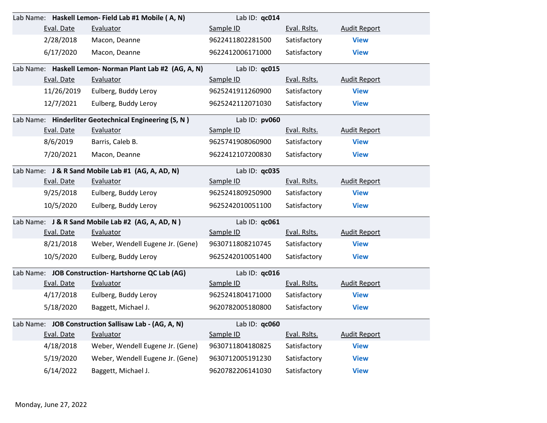|                                                   | Lab Name: Haskell Lemon- Field Lab #1 Mobile (A, N)     | Lab ID: gc014    |              |                     |
|---------------------------------------------------|---------------------------------------------------------|------------------|--------------|---------------------|
| Eval. Date                                        | Evaluator                                               | Sample ID        | Eval. Rslts. | <b>Audit Report</b> |
| 2/28/2018                                         | Macon, Deanne                                           | 9622411802281500 | Satisfactory | <b>View</b>         |
| 6/17/2020                                         | Macon, Deanne                                           | 9622412006171000 | Satisfactory | <b>View</b>         |
|                                                   | Lab Name: Haskell Lemon- Norman Plant Lab #2 (AG, A, N) | Lab ID: qc015    |              |                     |
| Eval. Date                                        | Evaluator                                               | Sample ID        | Eval. Rslts. | <b>Audit Report</b> |
| 11/26/2019                                        | Eulberg, Buddy Leroy                                    | 9625241911260900 | Satisfactory | <b>View</b>         |
| 12/7/2021                                         | Eulberg, Buddy Leroy                                    | 9625242112071030 | Satisfactory | <b>View</b>         |
|                                                   | Lab Name: Hinderliter Geotechnical Engineering (S, N)   | Lab ID: pv060    |              |                     |
| Eval. Date                                        | Evaluator                                               | Sample ID        | Eval. Rslts. | <b>Audit Report</b> |
| 8/6/2019                                          | Barris, Caleb B.                                        | 9625741908060900 | Satisfactory | <b>View</b>         |
| 7/20/2021                                         | Macon, Deanne                                           | 9622412107200830 | Satisfactory | <b>View</b>         |
| Lab Name: J & R Sand Mobile Lab #1 (AG, A, AD, N) |                                                         | Lab ID: qc035    |              |                     |
| Eval. Date                                        | Evaluator                                               | Sample ID        | Eval. Rslts. | <b>Audit Report</b> |
| 9/25/2018                                         | Eulberg, Buddy Leroy                                    | 9625241809250900 | Satisfactory | <b>View</b>         |
| 10/5/2020                                         | Eulberg, Buddy Leroy                                    | 9625242010051100 | Satisfactory | <b>View</b>         |
|                                                   | Lab Name: J & R Sand Mobile Lab #2 (AG, A, AD, N)       | Lab ID: qc061    |              |                     |
| Eval. Date                                        | Evaluator                                               | Sample ID        | Eval. Rslts. | <b>Audit Report</b> |
| 8/21/2018                                         | Weber, Wendell Eugene Jr. (Gene)                        | 9630711808210745 | Satisfactory | <b>View</b>         |
| 10/5/2020                                         | Eulberg, Buddy Leroy                                    | 9625242010051400 | Satisfactory | <b>View</b>         |
|                                                   | Lab Name: JOB Construction-Hartshorne QC Lab (AG)       | Lab ID: qc016    |              |                     |
| Eval. Date                                        | Evaluator                                               | Sample ID        | Eval. Rslts. | <b>Audit Report</b> |
| 4/17/2018                                         | Eulberg, Buddy Leroy                                    | 9625241804171000 | Satisfactory | <b>View</b>         |
| 5/18/2020                                         | Baggett, Michael J.                                     | 9620782005180800 | Satisfactory | <b>View</b>         |
|                                                   | Lab Name: JOB Construction Sallisaw Lab - (AG, A, N)    | Lab ID: $qc060$  |              |                     |
| Eval. Date                                        | Evaluator                                               | Sample ID        | Eval. Rslts. | <b>Audit Report</b> |
| 4/18/2018                                         | Weber, Wendell Eugene Jr. (Gene)                        | 9630711804180825 | Satisfactory | <b>View</b>         |
| 5/19/2020                                         | Weber, Wendell Eugene Jr. (Gene)                        | 9630712005191230 | Satisfactory | <b>View</b>         |
| 6/14/2022                                         | Baggett, Michael J.                                     | 9620782206141030 | Satisfactory | <b>View</b>         |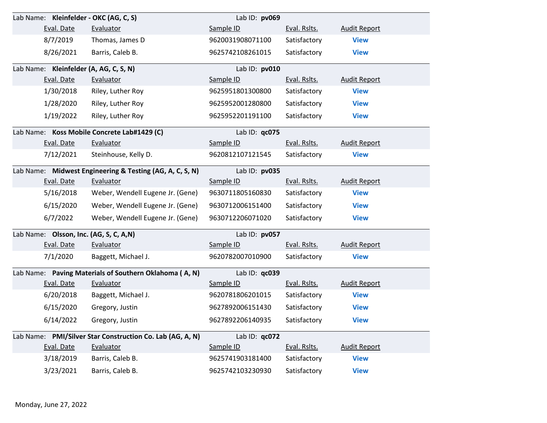| Lab Name: Kleinfelder - OKC (AG, C, S)                   |                                                           | Lab ID: pv069    |              |                     |  |
|----------------------------------------------------------|-----------------------------------------------------------|------------------|--------------|---------------------|--|
| Eval. Date                                               | Evaluator                                                 | Sample ID        | Eval. Rslts. | <b>Audit Report</b> |  |
| 8/7/2019                                                 | Thomas, James D                                           | 9620031908071100 | Satisfactory | <b>View</b>         |  |
| 8/26/2021                                                | Barris, Caleb B.                                          | 9625742108261015 | Satisfactory | <b>View</b>         |  |
| Lab Name: Kleinfelder (A, AG, C, S, N)                   |                                                           | Lab ID: pv010    |              |                     |  |
| Eval. Date                                               | Evaluator                                                 | Sample ID        | Eval. Rslts. | <b>Audit Report</b> |  |
| 1/30/2018                                                | Riley, Luther Roy                                         | 9625951801300800 | Satisfactory | <b>View</b>         |  |
| 1/28/2020                                                | Riley, Luther Roy                                         | 9625952001280800 | Satisfactory | <b>View</b>         |  |
| 1/19/2022                                                | Riley, Luther Roy                                         | 9625952201191100 | Satisfactory | <b>View</b>         |  |
|                                                          | Lab Name: Koss Mobile Concrete Lab#1429 (C)               | Lab ID: qc075    |              |                     |  |
| Eval. Date                                               | Evaluator                                                 | Sample ID        | Eval. Rslts. | <b>Audit Report</b> |  |
| 7/12/2021                                                | Steinhouse, Kelly D.                                      | 9620812107121545 | Satisfactory | <b>View</b>         |  |
| Lab Name: Midwest Engineering & Testing (AG, A, C, S, N) | Lab ID: pv035                                             |                  |              |                     |  |
| Eval. Date                                               | Evaluator                                                 | Sample ID        | Eval. Rslts. | <b>Audit Report</b> |  |
| 5/16/2018                                                | Weber, Wendell Eugene Jr. (Gene)                          | 9630711805160830 | Satisfactory | <b>View</b>         |  |
| 6/15/2020                                                | Weber, Wendell Eugene Jr. (Gene)                          | 9630712006151400 | Satisfactory | <b>View</b>         |  |
| 6/7/2022                                                 | Weber, Wendell Eugene Jr. (Gene)                          | 9630712206071020 | Satisfactory | <b>View</b>         |  |
| Lab Name: Olsson, Inc. (AG, S, C, A,N)                   |                                                           | Lab ID: pv057    |              |                     |  |
| Eval. Date                                               | Evaluator                                                 | Sample ID        | Eval. Rslts. | <b>Audit Report</b> |  |
| 7/1/2020                                                 | Baggett, Michael J.                                       | 9620782007010900 | Satisfactory | <b>View</b>         |  |
|                                                          | Lab Name: Paving Materials of Southern Oklahoma (A, N)    | Lab ID: qc039    |              |                     |  |
| Eval. Date                                               | Evaluator                                                 | Sample ID        | Eval. Rslts. | <b>Audit Report</b> |  |
| 6/20/2018                                                | Baggett, Michael J.                                       | 9620781806201015 | Satisfactory | <b>View</b>         |  |
| 6/15/2020                                                | Gregory, Justin                                           | 9627892006151430 | Satisfactory | <b>View</b>         |  |
| 6/14/2022                                                | Gregory, Justin                                           | 9627892206140935 | Satisfactory | <b>View</b>         |  |
|                                                          | Lab Name: PMI/Silver Star Construction Co. Lab (AG, A, N) | Lab ID: qc072    |              |                     |  |
| Eval. Date                                               | Evaluator                                                 | Sample ID        | Eval. Rslts. | <b>Audit Report</b> |  |
| 3/18/2019                                                | Barris, Caleb B.                                          | 9625741903181400 | Satisfactory | <b>View</b>         |  |
| 3/23/2021                                                | Barris, Caleb B.                                          | 9625742103230930 | Satisfactory | <b>View</b>         |  |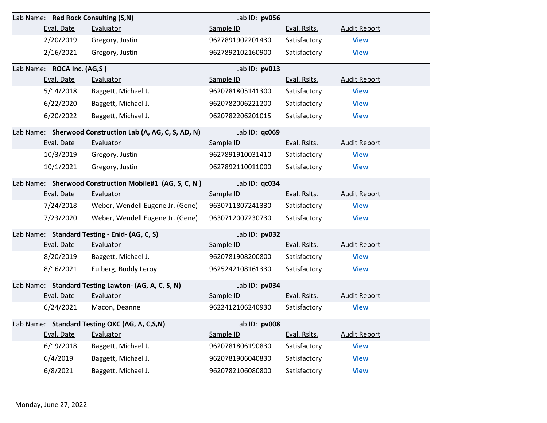| Lab Name: Red Rock Consulting (S,N)                    |                                                          | Lab ID: pv056    |              |                     |
|--------------------------------------------------------|----------------------------------------------------------|------------------|--------------|---------------------|
| Eval. Date                                             | Evaluator                                                | Sample ID        | Eval. Rslts. | <b>Audit Report</b> |
| 2/20/2019                                              | Gregory, Justin                                          | 9627891902201430 | Satisfactory | <b>View</b>         |
| 2/16/2021                                              | Gregory, Justin                                          | 9627892102160900 | Satisfactory | <b>View</b>         |
| Lab Name: ROCA Inc. (AG,S)                             |                                                          | Lab ID: pv013    |              |                     |
| Eval. Date                                             | Evaluator                                                | Sample ID        | Eval. Rslts. | <b>Audit Report</b> |
| 5/14/2018                                              | Baggett, Michael J.                                      | 9620781805141300 | Satisfactory | <b>View</b>         |
| 6/22/2020                                              | Baggett, Michael J.                                      | 9620782006221200 | Satisfactory | <b>View</b>         |
| 6/20/2022                                              | Baggett, Michael J.                                      | 9620782206201015 | Satisfactory | <b>View</b>         |
|                                                        | Lab Name: Sherwood Construction Lab (A, AG, C, S, AD, N) | Lab ID: qc069    |              |                     |
| Eval. Date                                             | Evaluator                                                | Sample ID        | Eval. Rslts. | <b>Audit Report</b> |
| 10/3/2019                                              | Gregory, Justin                                          | 9627891910031410 | Satisfactory | <b>View</b>         |
| 10/1/2021                                              | Gregory, Justin                                          | 9627892110011000 | Satisfactory | <b>View</b>         |
| Lab Name: Sherwood Construction Mobile#1 (AG, S, C, N) |                                                          | Lab ID: qc034    |              |                     |
| Eval. Date                                             | Evaluator                                                | Sample ID        | Eval. Rslts. | <b>Audit Report</b> |
| 7/24/2018                                              | Weber, Wendell Eugene Jr. (Gene)                         | 9630711807241330 | Satisfactory | <b>View</b>         |
| 7/23/2020                                              | Weber, Wendell Eugene Jr. (Gene)                         | 9630712007230730 | Satisfactory | <b>View</b>         |
| Lab Name: Standard Testing - Enid- (AG, C, S)          |                                                          | Lab ID: pv032    |              |                     |
| Eval. Date                                             | Evaluator                                                | Sample ID        | Eval. Rslts. | <b>Audit Report</b> |
| 8/20/2019                                              | Baggett, Michael J.                                      | 9620781908200800 | Satisfactory | <b>View</b>         |
| 8/16/2021                                              | Eulberg, Buddy Leroy                                     | 9625242108161330 | Satisfactory | <b>View</b>         |
|                                                        | Lab Name: Standard Testing Lawton- (AG, A, C, S, N)      | Lab ID: pv034    |              |                     |
| Eval. Date                                             | Evaluator                                                | Sample ID        | Eval. Rslts. | <b>Audit Report</b> |
| 6/24/2021                                              | Macon, Deanne                                            | 9622412106240930 | Satisfactory | <b>View</b>         |
|                                                        | Lab Name: Standard Testing OKC (AG, A, C,S,N)            | Lab ID: $pv008$  |              |                     |
| Eval. Date                                             | Evaluator                                                | Sample ID        | Eval. Rslts. | <b>Audit Report</b> |
| 6/19/2018                                              | Baggett, Michael J.                                      | 9620781806190830 | Satisfactory | <b>View</b>         |
| 6/4/2019                                               | Baggett, Michael J.                                      | 9620781906040830 | Satisfactory | <b>View</b>         |
| 6/8/2021                                               | Baggett, Michael J.                                      | 9620782106080800 | Satisfactory | <b>View</b>         |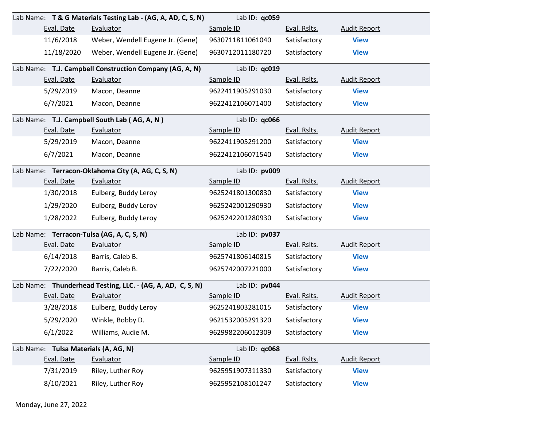|                                                         |            | Lab Name: T & G Materials Testing Lab - (AG, A, AD, C, S, N) | Lab ID: qc059    |              |                     |
|---------------------------------------------------------|------------|--------------------------------------------------------------|------------------|--------------|---------------------|
|                                                         | Eval. Date | Evaluator                                                    | Sample ID        | Eval. Rslts. | <b>Audit Report</b> |
|                                                         | 11/6/2018  | Weber, Wendell Eugene Jr. (Gene)                             | 9630711811061040 | Satisfactory | <b>View</b>         |
|                                                         | 11/18/2020 | Weber, Wendell Eugene Jr. (Gene)                             | 9630712011180720 | Satisfactory | <b>View</b>         |
| Lab Name: T.J. Campbell Construction Company (AG, A, N) |            |                                                              | Lab ID: qc019    |              |                     |
|                                                         | Eval. Date | Evaluator                                                    | Sample ID        | Eval. Rslts. | <b>Audit Report</b> |
|                                                         | 5/29/2019  | Macon, Deanne                                                | 9622411905291030 | Satisfactory | <b>View</b>         |
|                                                         | 6/7/2021   | Macon, Deanne                                                | 9622412106071400 | Satisfactory | <b>View</b>         |
| Lab Name: T.J. Campbell South Lab (AG, A, N)            |            |                                                              | Lab ID: qc066    |              |                     |
|                                                         | Eval. Date | Evaluator                                                    | Sample ID        | Eval. Rslts. | <b>Audit Report</b> |
|                                                         | 5/29/2019  | Macon, Deanne                                                | 9622411905291200 | Satisfactory | <b>View</b>         |
|                                                         | 6/7/2021   | Macon, Deanne                                                | 9622412106071540 | Satisfactory | <b>View</b>         |
|                                                         |            | Lab Name: Terracon-Oklahoma City (A, AG, C, S, N)            | Lab ID: pv009    |              |                     |
|                                                         | Eval. Date | Evaluator                                                    | Sample ID        | Eval. Rslts. | <b>Audit Report</b> |
|                                                         | 1/30/2018  | Eulberg, Buddy Leroy                                         | 9625241801300830 | Satisfactory | <b>View</b>         |
|                                                         | 1/29/2020  | Eulberg, Buddy Leroy                                         | 9625242001290930 | Satisfactory | <b>View</b>         |
|                                                         | 1/28/2022  | Eulberg, Buddy Leroy                                         | 9625242201280930 | Satisfactory | <b>View</b>         |
|                                                         |            | Lab Name: Terracon-Tulsa (AG, A, C, S, N)                    | Lab ID: pv037    |              |                     |
|                                                         | Eval. Date | Evaluator                                                    | Sample ID        | Eval. Rslts. | <b>Audit Report</b> |
|                                                         | 6/14/2018  | Barris, Caleb B.                                             | 9625741806140815 | Satisfactory | <b>View</b>         |
|                                                         | 7/22/2020  | Barris, Caleb B.                                             | 9625742007221000 | Satisfactory | <b>View</b>         |
|                                                         |            | Lab Name: Thunderhead Testing, LLC. - (AG, A, AD, C, S, N)   | Lab ID: pv044    |              |                     |
|                                                         | Eval. Date | Evaluator                                                    | Sample ID        | Eval. Rslts. | <b>Audit Report</b> |
|                                                         | 3/28/2018  | Eulberg, Buddy Leroy                                         | 9625241803281015 | Satisfactory | <b>View</b>         |
|                                                         | 5/29/2020  | Winkle, Bobby D.                                             | 9621532005291320 | Satisfactory | <b>View</b>         |
|                                                         | 6/1/2022   | Williams, Audie M.                                           | 9629982206012309 | Satisfactory | <b>View</b>         |
| Lab Name: Tulsa Materials (A, AG, N)                    |            |                                                              | Lab ID: qc068    |              |                     |
|                                                         | Eval. Date | Evaluator                                                    | Sample ID        | Eval. Rslts. | <b>Audit Report</b> |
|                                                         | 7/31/2019  | Riley, Luther Roy                                            | 9625951907311330 | Satisfactory | <b>View</b>         |
|                                                         | 8/10/2021  | Riley, Luther Roy                                            | 9625952108101247 | Satisfactory | <b>View</b>         |